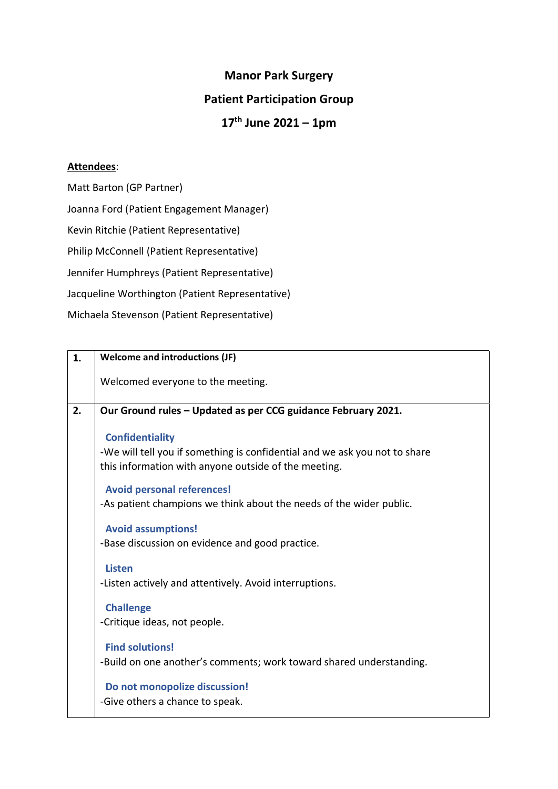## **Manor Park Surgery Patient Participation Group 17th June 2021 – 1pm**

## **Attendees**:

Matt Barton (GP Partner) Joanna Ford (Patient Engagement Manager) Kevin Ritchie (Patient Representative) Philip McConnell (Patient Representative) Jennifer Humphreys (Patient Representative) Jacqueline Worthington (Patient Representative) Michaela Stevenson (Patient Representative)

| 1. | <b>Welcome and introductions (JF)</b>                                                                                                                        |
|----|--------------------------------------------------------------------------------------------------------------------------------------------------------------|
|    | Welcomed everyone to the meeting.                                                                                                                            |
| 2. | Our Ground rules - Updated as per CCG guidance February 2021.                                                                                                |
|    | <b>Confidentiality</b><br>-We will tell you if something is confidential and we ask you not to share<br>this information with anyone outside of the meeting. |
|    | <b>Avoid personal references!</b>                                                                                                                            |
|    | -As patient champions we think about the needs of the wider public.                                                                                          |
|    | <b>Avoid assumptions!</b><br>-Base discussion on evidence and good practice.                                                                                 |
|    | <b>Listen</b><br>-Listen actively and attentively. Avoid interruptions.                                                                                      |
|    | <b>Challenge</b><br>-Critique ideas, not people.                                                                                                             |
|    | <b>Find solutions!</b><br>-Build on one another's comments; work toward shared understanding.                                                                |
|    | Do not monopolize discussion!<br>-Give others a chance to speak.                                                                                             |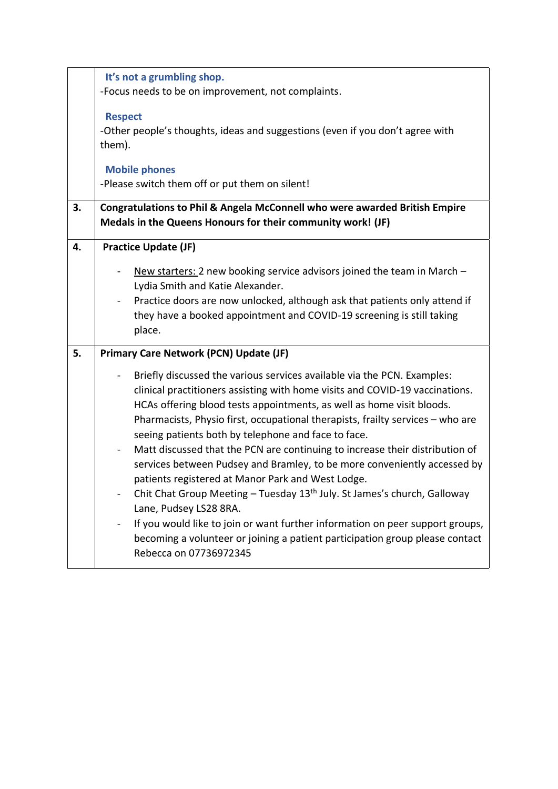|    | It's not a grumbling shop.                                                                                     |  |  |
|----|----------------------------------------------------------------------------------------------------------------|--|--|
|    | -Focus needs to be on improvement, not complaints.                                                             |  |  |
|    | <b>Respect</b>                                                                                                 |  |  |
|    | -Other people's thoughts, ideas and suggestions (even if you don't agree with<br>them).                        |  |  |
|    | <b>Mobile phones</b>                                                                                           |  |  |
|    | -Please switch them off or put them on silent!                                                                 |  |  |
| 3. | Congratulations to Phil & Angela McConnell who were awarded British Empire                                     |  |  |
|    | Medals in the Queens Honours for their community work! (JF)                                                    |  |  |
| 4. | <b>Practice Update (JF)</b>                                                                                    |  |  |
|    |                                                                                                                |  |  |
|    | New starters: 2 new booking service advisors joined the team in March -                                        |  |  |
|    | Lydia Smith and Katie Alexander.                                                                               |  |  |
|    | Practice doors are now unlocked, although ask that patients only attend if                                     |  |  |
|    | they have a booked appointment and COVID-19 screening is still taking<br>place.                                |  |  |
|    |                                                                                                                |  |  |
| 5. | <b>Primary Care Network (PCN) Update (JF)</b>                                                                  |  |  |
|    | Briefly discussed the various services available via the PCN. Examples:                                        |  |  |
|    | clinical practitioners assisting with home visits and COVID-19 vaccinations.                                   |  |  |
|    | HCAs offering blood tests appointments, as well as home visit bloods.                                          |  |  |
|    | Pharmacists, Physio first, occupational therapists, frailty services - who are                                 |  |  |
|    | seeing patients both by telephone and face to face.                                                            |  |  |
|    | Matt discussed that the PCN are continuing to increase their distribution of<br>$\qquad \qquad \blacksquare$   |  |  |
|    | services between Pudsey and Bramley, to be more conveniently accessed by                                       |  |  |
|    | patients registered at Manor Park and West Lodge.                                                              |  |  |
|    | Chit Chat Group Meeting - Tuesday 13 <sup>th</sup> July. St James's church, Galloway<br>Lane, Pudsey LS28 8RA. |  |  |
|    | If you would like to join or want further information on peer support groups,                                  |  |  |
|    | becoming a volunteer or joining a patient participation group please contact                                   |  |  |
|    | Rebecca on 07736972345                                                                                         |  |  |
|    |                                                                                                                |  |  |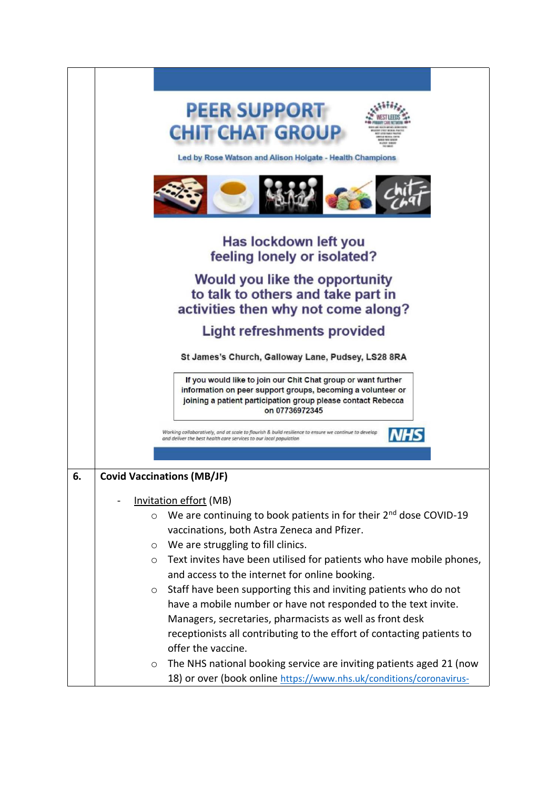|    | <b>PEER SUPPORT</b><br><b>CHIT CHAT GROUP</b><br>Led by Rose Watson and Alison Holgate - Health Champions                                                                                                      |
|----|----------------------------------------------------------------------------------------------------------------------------------------------------------------------------------------------------------------|
|    |                                                                                                                                                                                                                |
|    |                                                                                                                                                                                                                |
|    | Has lockdown left you<br>feeling lonely or isolated?                                                                                                                                                           |
|    | Would you like the opportunity<br>to talk to others and take part in<br>activities then why not come along?                                                                                                    |
|    | <b>Light refreshments provided</b>                                                                                                                                                                             |
|    | St James's Church, Galloway Lane, Pudsey, LS28 8RA                                                                                                                                                             |
|    | If you would like to join our Chit Chat group or want further<br>information on peer support groups, becoming a volunteer or<br>joining a patient participation group please contact Rebecca<br>on 07736972345 |
|    | Working collaboratively, and at scale to flourish & build resilience to ensure we continue to develop<br>and deliver the best health care services to our local population                                     |
|    |                                                                                                                                                                                                                |
| 6. | <b>Covid Vaccinations (MB/JF)</b>                                                                                                                                                                              |
|    |                                                                                                                                                                                                                |
|    | <b>Invitation effort (MB)</b><br>We are continuing to book patients in for their 2 <sup>nd</sup> dose COVID-19<br>$\circ$                                                                                      |
|    | vaccinations, both Astra Zeneca and Pfizer.                                                                                                                                                                    |
|    | We are struggling to fill clinics.<br>$\circ$                                                                                                                                                                  |
|    | Text invites have been utilised for patients who have mobile phones,<br>O                                                                                                                                      |
|    | and access to the internet for online booking.                                                                                                                                                                 |
|    | Staff have been supporting this and inviting patients who do not<br>$\circ$                                                                                                                                    |
|    | have a mobile number or have not responded to the text invite.                                                                                                                                                 |
|    | Managers, secretaries, pharmacists as well as front desk                                                                                                                                                       |
|    | receptionists all contributing to the effort of contacting patients to                                                                                                                                         |
|    | offer the vaccine.<br>The NHS national booking service are inviting patients aged 21 (now                                                                                                                      |
|    | O<br>18) or over (book online https://www.nhs.uk/conditions/coronavirus-                                                                                                                                       |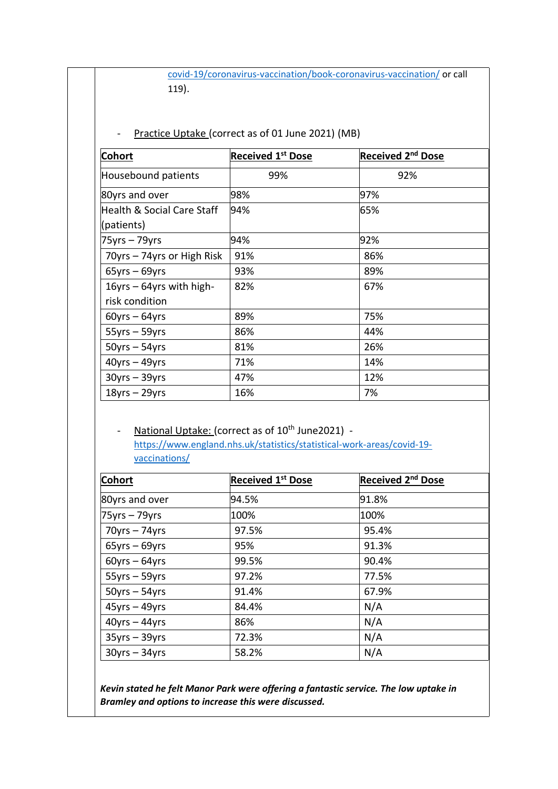[covid-19/coronavirus-vaccination/book-coronavirus-vaccination/](https://www.nhs.uk/conditions/coronavirus-covid-19/coronavirus-vaccination/book-coronavirus-vaccination/) or call 119).

## Practice Uptake (correct as of 01 June 2021) (MB)

| <b>Cohort</b>                                       | <b>Received 1st Dose</b> | Received 2 <sup>nd</sup> Dose |
|-----------------------------------------------------|--------------------------|-------------------------------|
| Housebound patients                                 | 99%                      | 92%                           |
| 80yrs and over                                      | 98%                      | 97%                           |
| <b>Health &amp; Social Care Staff</b><br>(patients) | 94%                      | 65%                           |
| $75yrs - 79yrs$                                     | 94%                      | 92%                           |
| 70yrs - 74yrs or High Risk                          | 91%                      | 86%                           |
| $65$ yrs – 69yrs                                    | 93%                      | 89%                           |
| $16yrs - 64yrs$ with high-<br>risk condition        | 82%                      | 67%                           |
| $60$ yrs – $64$ yrs                                 | 89%                      | 75%                           |
| $55yrs - 59yrs$                                     | 86%                      | 44%                           |
| $50yrs - 54yrs$                                     | 81%                      | 26%                           |
| $40$ yrs – $49$ yrs                                 | 71%                      | 14%                           |
| $30yrs - 39yrs$                                     | 47%                      | 12%                           |
| $18$ yrs – 29yrs                                    | 16%                      | 7%                            |

- National Uptake: (correct as of 10<sup>th</sup> June2021) [https://www.england.nhs.uk/statistics/statistical-work-areas/covid-19](https://www.england.nhs.uk/statistics/statistical-work-areas/covid-19-vaccinations/) [vaccinations/](https://www.england.nhs.uk/statistics/statistical-work-areas/covid-19-vaccinations/)

| <b>Cohort</b>       | <b>Received 1st Dose</b> | Received 2 <sup>nd</sup> Dose |
|---------------------|--------------------------|-------------------------------|
| 80yrs and over      | 94.5%                    | 91.8%                         |
| $75$ yrs – 79yrs    | 100%                     | 100%                          |
| $70yrs - 74yrs$     | 97.5%                    | 95.4%                         |
| $65$ yrs – $69$ yrs | 95%                      | 91.3%                         |
| $60$ yrs – $64$ yrs | 99.5%                    | 90.4%                         |
| $55yrs - 59yrs$     | 97.2%                    | 77.5%                         |
| $50yrs - 54yrs$     | 91.4%                    | 67.9%                         |
| $45$ yrs – $49$ yrs | 84.4%                    | N/A                           |
| $40$ yrs – $44$ yrs | 86%                      | N/A                           |
| $35yrs - 39yrs$     | 72.3%                    | N/A                           |
| $30yrs - 34yrs$     | 58.2%                    | N/A                           |

*Kevin stated he felt Manor Park were offering a fantastic service. The low uptake in Bramley and options to increase this were discussed.*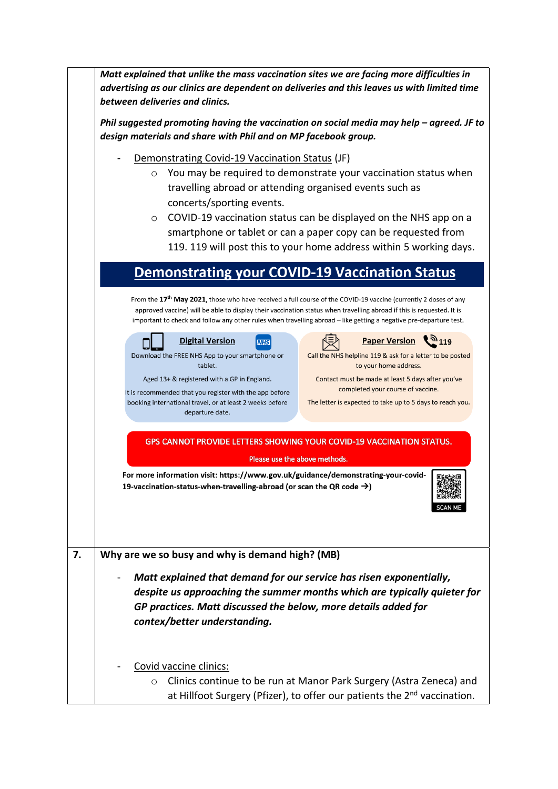|    | Matt explained that unlike the mass vaccination sites we are facing more difficulties in<br>advertising as our clinics are dependent on deliveries and this leaves us with limited time<br>between deliveries and clinics.                                                                                                                                                                                                                   |                                                                                                                                                                                                                                                                                                                                                                            |  |
|----|----------------------------------------------------------------------------------------------------------------------------------------------------------------------------------------------------------------------------------------------------------------------------------------------------------------------------------------------------------------------------------------------------------------------------------------------|----------------------------------------------------------------------------------------------------------------------------------------------------------------------------------------------------------------------------------------------------------------------------------------------------------------------------------------------------------------------------|--|
|    | Phil suggested promoting having the vaccination on social media may help $-$ agreed. JF to<br>design materials and share with Phil and on MP facebook group.                                                                                                                                                                                                                                                                                 |                                                                                                                                                                                                                                                                                                                                                                            |  |
|    | Demonstrating Covid-19 Vaccination Status (JF)<br>You may be required to demonstrate your vaccination status when<br>$\circ$<br>travelling abroad or attending organised events such as<br>concerts/sporting events.<br>COVID-19 vaccination status can be displayed on the NHS app on a<br>$\circ$<br>smartphone or tablet or can a paper copy can be requested from<br>119. 119 will post this to your home address within 5 working days. |                                                                                                                                                                                                                                                                                                                                                                            |  |
|    | <b>Demonstrating your COVID-19 Vaccination Status</b>                                                                                                                                                                                                                                                                                                                                                                                        |                                                                                                                                                                                                                                                                                                                                                                            |  |
|    |                                                                                                                                                                                                                                                                                                                                                                                                                                              | From the 17 <sup>th</sup> May 2021, those who have received a full course of the COVID-19 vaccine (currently 2 doses of any<br>approved vaccine) will be able to display their vaccination status when travelling abroad if this is requested. It is<br>important to check and follow any other rules when travelling abroad - like getting a negative pre-departure test. |  |
|    | <b>Digital Version</b><br><b>NHS</b><br>Download the FREE NHS App to your smartphone or<br>tablet.<br>Aged 13+ & registered with a GP in England.<br>It is recommended that you register with the app before<br>booking international travel, or at least 2 weeks before<br>departure date.                                                                                                                                                  | <b>Paper Version</b><br>$2^{\prime\prime}$ 119<br>Call the NHS helpline 119 & ask for a letter to be posted<br>to your home address.<br>Contact must be made at least 5 days after you've<br>completed your course of vaccine.<br>The letter is expected to take up to 5 days to reach you.                                                                                |  |
|    |                                                                                                                                                                                                                                                                                                                                                                                                                                              | <b>GPS CANNOT PROVIDE LETTERS SHOWING YOUR COVID-19 VACCINATION STATUS.</b>                                                                                                                                                                                                                                                                                                |  |
|    | Please use the above methods.                                                                                                                                                                                                                                                                                                                                                                                                                |                                                                                                                                                                                                                                                                                                                                                                            |  |
|    | For more information visit: https://www.gov.uk/guidance/demonstrating-your-covid-<br>19-vaccination-status-when-travelling-abroad (or scan the QR code $\rightarrow$ )                                                                                                                                                                                                                                                                       |                                                                                                                                                                                                                                                                                                                                                                            |  |
| 7. | Why are we so busy and why is demand high? (MB)                                                                                                                                                                                                                                                                                                                                                                                              |                                                                                                                                                                                                                                                                                                                                                                            |  |
|    | Matt explained that demand for our service has risen exponentially,<br>GP practices. Matt discussed the below, more details added for<br>contex/better understanding.                                                                                                                                                                                                                                                                        | despite us approaching the summer months which are typically quieter for                                                                                                                                                                                                                                                                                                   |  |
|    | Covid vaccine clinics:<br>$\circ$                                                                                                                                                                                                                                                                                                                                                                                                            | Clinics continue to be run at Manor Park Surgery (Astra Zeneca) and<br>at Hillfoot Surgery (Pfizer), to offer our patients the 2 <sup>nd</sup> vaccination.                                                                                                                                                                                                                |  |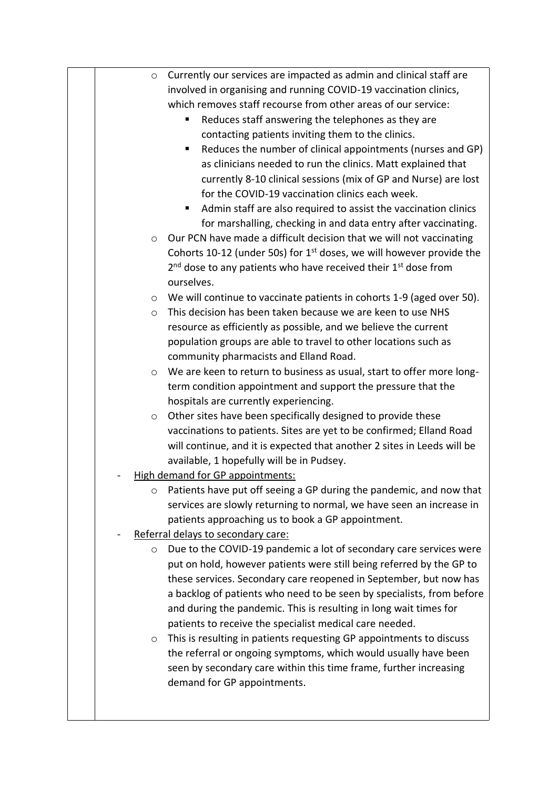| $\circ$ | Currently our services are impacted as admin and clinical staff are     |
|---------|-------------------------------------------------------------------------|
|         | involved in organising and running COVID-19 vaccination clinics,        |
|         | which removes staff recourse from other areas of our service:           |
|         | Reduces staff answering the telephones as they are<br>ш                 |
|         | contacting patients inviting them to the clinics.                       |
|         | Reduces the number of clinical appointments (nurses and GP)             |
|         | as clinicians needed to run the clinics. Matt explained that            |
|         | currently 8-10 clinical sessions (mix of GP and Nurse) are lost         |
|         | for the COVID-19 vaccination clinics each week.                         |
|         | Admin staff are also required to assist the vaccination clinics         |
|         | for marshalling, checking in and data entry after vaccinating.          |
| $\circ$ | Our PCN have made a difficult decision that we will not vaccinating     |
|         | Cohorts 10-12 (under 50s) for $1st$ doses, we will however provide the  |
|         | $2nd$ dose to any patients who have received their $1st$ dose from      |
|         | ourselves.                                                              |
| $\circ$ | We will continue to vaccinate patients in cohorts 1-9 (aged over 50).   |
| $\circ$ | This decision has been taken because we are keen to use NHS             |
|         | resource as efficiently as possible, and we believe the current         |
|         | population groups are able to travel to other locations such as         |
|         | community pharmacists and Elland Road.                                  |
| $\circ$ | We are keen to return to business as usual, start to offer more long-   |
|         | term condition appointment and support the pressure that the            |
|         | hospitals are currently experiencing.                                   |
| $\circ$ | Other sites have been specifically designed to provide these            |
|         | vaccinations to patients. Sites are yet to be confirmed; Elland Road    |
|         | will continue, and it is expected that another 2 sites in Leeds will be |
|         | available, 1 hopefully will be in Pudsey.                               |
|         | <b>High demand for GP appointments:</b>                                 |
| $\circ$ | Patients have put off seeing a GP during the pandemic, and now that     |
|         | services are slowly returning to normal, we have seen an increase in    |
|         | patients approaching us to book a GP appointment.                       |
|         |                                                                         |
|         | Referral delays to secondary care:                                      |
| $\circ$ | Due to the COVID-19 pandemic a lot of secondary care services were      |
|         | put on hold, however patients were still being referred by the GP to    |
|         | these services. Secondary care reopened in September, but now has       |
|         | a backlog of patients who need to be seen by specialists, from before   |
|         | and during the pandemic. This is resulting in long wait times for       |
|         | patients to receive the specialist medical care needed.                 |
| O       | This is resulting in patients requesting GP appointments to discuss     |
|         | the referral or ongoing symptoms, which would usually have been         |
|         | seen by secondary care within this time frame, further increasing       |
|         | demand for GP appointments.                                             |
|         |                                                                         |
|         |                                                                         |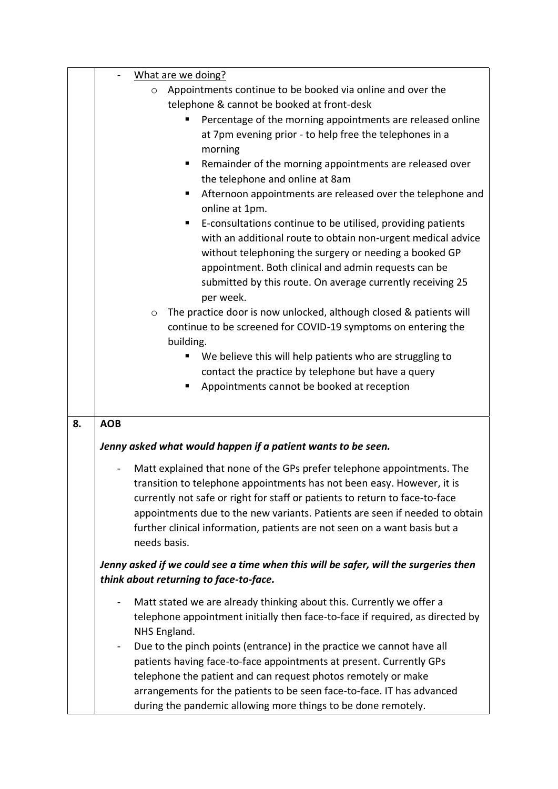|    | What are we doing?                                                                                   |  |
|----|------------------------------------------------------------------------------------------------------|--|
|    | Appointments continue to be booked via online and over the<br>$\circ$                                |  |
|    | telephone & cannot be booked at front-desk                                                           |  |
|    | Percentage of the morning appointments are released online                                           |  |
|    | at 7pm evening prior - to help free the telephones in a                                              |  |
|    | morning                                                                                              |  |
|    | Remainder of the morning appointments are released over<br>п                                         |  |
|    | the telephone and online at 8am                                                                      |  |
|    | Afternoon appointments are released over the telephone and<br>ш<br>online at 1pm.                    |  |
|    | E-consultations continue to be utilised, providing patients<br>п                                     |  |
|    | with an additional route to obtain non-urgent medical advice                                         |  |
|    | without telephoning the surgery or needing a booked GP                                               |  |
|    | appointment. Both clinical and admin requests can be                                                 |  |
|    | submitted by this route. On average currently receiving 25<br>per week.                              |  |
|    | The practice door is now unlocked, although closed & patients will<br>$\circ$                        |  |
|    | continue to be screened for COVID-19 symptoms on entering the                                        |  |
|    | building.                                                                                            |  |
|    | We believe this will help patients who are struggling to                                             |  |
|    | contact the practice by telephone but have a query                                                   |  |
|    | Appointments cannot be booked at reception<br>٠                                                      |  |
|    |                                                                                                      |  |
|    |                                                                                                      |  |
| 8. | <b>AOB</b>                                                                                           |  |
|    | Jenny asked what would happen if a patient wants to be seen.                                         |  |
|    | Matt explained that none of the GPs prefer telephone appointments. The                               |  |
|    | transition to telephone appointments has not been easy. However, it is                               |  |
|    | currently not safe or right for staff or patients to return to face-to-face                          |  |
|    | appointments due to the new variants. Patients are seen if needed to obtain                          |  |
|    | further clinical information, patients are not seen on a want basis but a                            |  |
|    | needs basis.                                                                                         |  |
|    | Jenny asked if we could see a time when this will be safer, will the surgeries then                  |  |
|    | think about returning to face-to-face.                                                               |  |
|    | Matt stated we are already thinking about this. Currently we offer a<br>$\qquad \qquad \blacksquare$ |  |
|    | telephone appointment initially then face-to-face if required, as directed by                        |  |
|    | NHS England.                                                                                         |  |
|    | Due to the pinch points (entrance) in the practice we cannot have all<br>$\blacksquare$              |  |
|    | patients having face-to-face appointments at present. Currently GPs                                  |  |
|    |                                                                                                      |  |
|    | telephone the patient and can request photos remotely or make                                        |  |
|    | arrangements for the patients to be seen face-to-face. IT has advanced                               |  |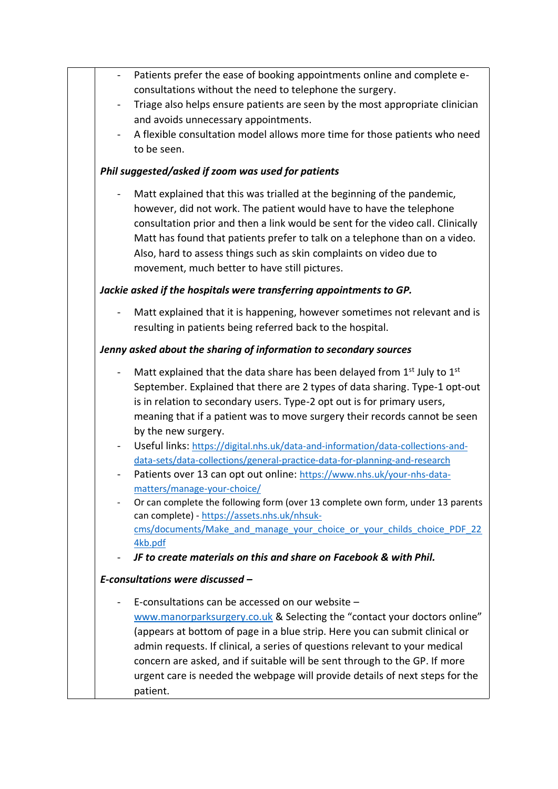|                | Patients prefer the ease of booking appointments online and complete e-         |
|----------------|---------------------------------------------------------------------------------|
|                | consultations without the need to telephone the surgery.                        |
|                | Triage also helps ensure patients are seen by the most appropriate clinician    |
|                | and avoids unnecessary appointments.                                            |
|                | A flexible consultation model allows more time for those patients who need      |
|                | to be seen.                                                                     |
|                | Phil suggested/asked if zoom was used for patients                              |
|                |                                                                                 |
|                | Matt explained that this was trialled at the beginning of the pandemic,         |
|                | however, did not work. The patient would have to have the telephone             |
|                | consultation prior and then a link would be sent for the video call. Clinically |
|                | Matt has found that patients prefer to talk on a telephone than on a video.     |
|                | Also, hard to assess things such as skin complaints on video due to             |
|                | movement, much better to have still pictures.                                   |
|                | Jackie asked if the hospitals were transferring appointments to GP.             |
|                | Matt explained that it is happening, however sometimes not relevant and is      |
|                | resulting in patients being referred back to the hospital.                      |
|                |                                                                                 |
|                | Jenny asked about the sharing of information to secondary sources               |
| $\blacksquare$ | Matt explained that the data share has been delayed from 1st July to 1st        |
|                | September. Explained that there are 2 types of data sharing. Type-1 opt-out     |
|                | is in relation to secondary users. Type-2 opt out is for primary users,         |
|                | meaning that if a patient was to move surgery their records cannot be seen      |
|                | by the new surgery.                                                             |
| $\blacksquare$ | Useful links: https://digital.nhs.uk/data-and-information/data-collections-and- |
|                | data-sets/data-collections/general-practice-data-for-planning-and-research      |
|                | Patients over 13 can opt out online: https://www.nhs.uk/your-nhs-data-          |
|                | matters/manage-your-choice/                                                     |
|                | Or can complete the following form (over 13 complete own form, under 13 parents |
|                | can complete) - https://assets.nhs.uk/nhsuk-                                    |
|                | cms/documents/Make and manage your choice or your childs choice PDF 22          |
|                | 4kb.pdf                                                                         |
| -              | JF to create materials on this and share on Facebook & with Phil.               |
|                | E-consultations were discussed -                                                |
|                | E-consultations can be accessed on our website -                                |
|                | www.manorparksurgery.co.uk & Selecting the "contact your doctors online"        |
|                | (appears at bottom of page in a blue strip. Here you can submit clinical or     |
|                | admin requests. If clinical, a series of questions relevant to your medical     |
|                | concern are asked, and if suitable will be sent through to the GP. If more      |
|                | urgent care is needed the webpage will provide details of next steps for the    |
|                | patient.                                                                        |
|                |                                                                                 |